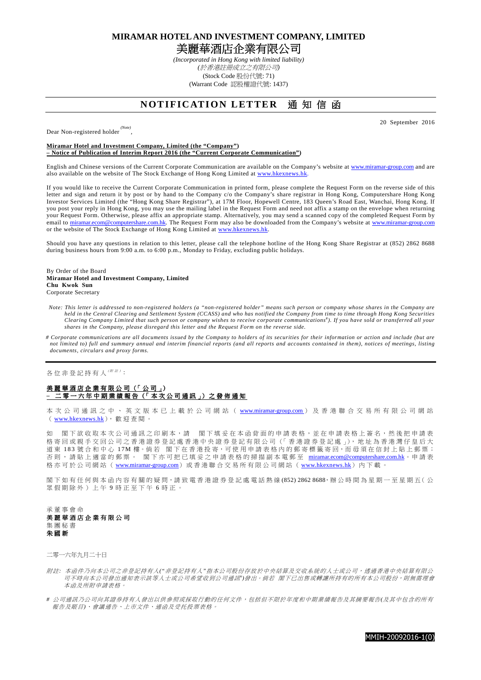**MIRAMAR HOTEL AND INVESTMENT COMPANY, LIMITED** 

美麗華酒店企業有限公司

*(Incorporated in Hong Kong with limited liability) (*於香港註冊成立之有限公司*)*  (Stock Code 股份代號: 71) (Warrant Code 認股權證代號: 1437)

# **NOTIFICATION LETTER** 通知信函

20 September 2016

Dear Non-registered holder *(Note)* ,

#### **Miramar Hotel and Investment Company, Limited (the "Company") – Notice of Publication of Interim Report 2016 (the "Current Corporate Communication")**

English and Chinese versions of the Current Corporate Communication are available on the Company's website at www.miramar-group.com and are also available on the website of The Stock Exchange of Hong Kong Limited at www.hkexnews.hk.

If you would like to receive the Current Corporate Communication in printed form, please complete the Request Form on the reverse side of this letter and sign and return it by post or by hand to the Company c/o the Company's share registrar in Hong Kong, Computershare Hong Kong Investor Services Limited (the "Hong Kong Share Registrar"), at 17M Floor, Hopewell Centre, 183 Queen's Road East, Wanchai, Hong Kong. If you post your reply in Hong Kong, you may use the mailing label in the Request Form and need not affix a stamp on the envelope when returning your Request Form. Otherwise, please affix an appropriate stamp. Alternatively, you may send a scanned copy of the completed Request Form by email to miramar.ecom@computershare.com.hk. The Request Form may also be downloaded from the Company's website at www.miramar-group.com or the website of The Stock Exchange of Hong Kong Limited at www.hkexnews.hk.

Should you have any questions in relation to this letter, please call the telephone hotline of the Hong Kong Share Registrar at (852) 2862 8688 during business hours from 9:00 a.m. to 6:00 p.m., Monday to Friday, excluding public holidays.

#### By Order of the Board **Miramar Hotel and Investment Company, Limited Chu Kwok Sun** Corporate Secretary

- *Note: This letter is addressed to non-registered holders (a "non-registered holder" means such person or company whose shares in the Company are held in the Central Clearing and Settlement System (CCASS) and who has notified the Company from time to time through Hong Kong Securities Clearing Company Limited that such person or company wishes to receive corporate communications*# *). If you have sold or transferred all your shares in the Company, please disregard this letter and the Request Form on the reverse side.*
- *# Corporate communications are all documents issued by the Company to holders of its securities for their information or action and include (but are not limited to) full and summary annual and interim financial reports (and all reports and accounts contained in them), notices of meetings, listing documents, circulars and proxy forms.*

各位非登記持有人(##):

### 美麗華酒店企業有限公司 (「公司」) 二 零 一 六 年 中 期 業 績 報 告 (「 本 次 公 司 通 訊 」) 之 發 佈 通 知

本 次 公 司 通 訊 之 中 、 英 文 版 本 已 上 載 於 公 司 網 站 ( www.miramar-group.com ) 及 香 港 聯 合 交 易 所 有 限 公 司 網 站 ( www.hkexnews.hk), 歡 迎 查 閱 。

如 閣下欲收取本次公司通訊之印刷本,請 閣下填妥在本函背面的申請表格,並在申請表格上簽名,然後把申請表 格寄回或親手交回公司之香港證券登記處香港中央證券登記有限公司(「香港證券登記處」), 地址為香港灣仔皇后大 道東 183 號合和中心 17M 樓。倘若 閣下在香港投寄,可使用申請表格內的郵寄標籤寄回,而毋須在信封上貼上郵票; 否 則 , 請 貼 上 適 當 的 郵 票 。 閣 下 亦 可 把 已 填 妥 之 申 請 表 格 的 掃 描 副 本 電 郵 至 miramar.ecom@computershare.com.hk。申 請 表 格 亦 可 於 公 司 網 站 ( www.miramar-group.com) 或 香 港 聯 合 交 易 所 有 限 公 司 網 站 ( www.hkexnews.hk) 內 下 載 。

閣下如有任何與本函內容有關的疑問,請致電香港證券登記處電話熱線(852) 2862 8688,辦公時間為星期一至星期五(公 眾 假 期 除 外 ) 上 午 9 時 正 至 下 午 6 時 正 。

承 董 事 會 命 美麗華 酒 店 企 業 有 限 公 司 集 團 秘 書 朱 國 新

二零一六年九月二十日

- 附註*:* 本函件乃向本公司之非登記持有人*("*非登記持有人*"*指本公司股份存放於中央結算及交收系統的人士或公司,透過香港中央結算有限公 司不時向本公司發出通知表示該等人士或公司希望收到公司通訊")發出。 倘若 閣下已出售或轉讓所持有的所有本公司股份,則無需理會 本函及所附申請表格。
- *#* 公司通訊乃公司向其證券持有人發出以供參照或採取行動的任何文件,包括但不限於年度和中期業績報告及其摘要報告*(*及其中包含的所 有 報告及賬目*)*、會議通告、上市文件、通函及受托投票表格。

MMIH-20092016-1(0)